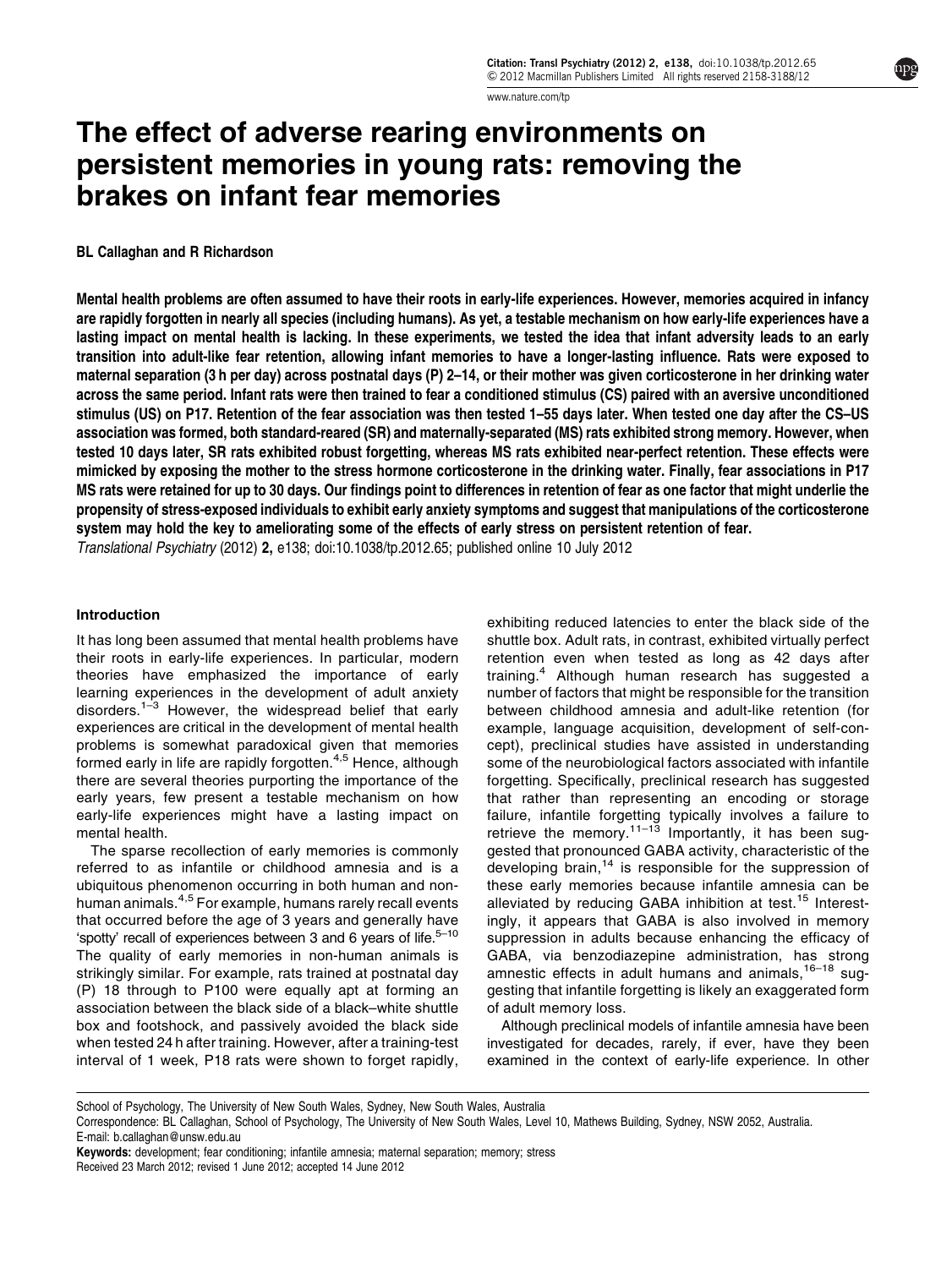[www.nature.com/tp](http://www.nature.com/tp)

# The effect of adverse rearing environments on persistent memories in young rats: removing the brakes on infant fear memories

BL Callaghan and R Richardson

Mental health problems are often assumed to have their roots in early-life experiences. However, memories acquired in infancy are rapidly forgotten in nearly all species (including humans). As yet, a testable mechanism on how early-life experiences have a lasting impact on mental health is lacking. In these experiments, we tested the idea that infant adversity leads to an early transition into adult-like fear retention, allowing infant memories to have a longer-lasting influence. Rats were exposed to maternal separation (3 h per day) across postnatal days (P) 2–14, or their mother was given corticosterone in her drinking water across the same period. Infant rats were then trained to fear a conditioned stimulus (CS) paired with an aversive unconditioned stimulus (US) on P17. Retention of the fear association was then tested 1–55 days later. When tested one day after the CS–US association was formed, both standard-reared (SR) and maternally-separated (MS) rats exhibited strong memory. However, when tested 10 days later, SR rats exhibited robust forgetting, whereas MS rats exhibited near-perfect retention. These effects were mimicked by exposing the mother to the stress hormone corticosterone in the drinking water. Finally, fear associations in P17 MS rats were retained for up to 30 days. Our findings point to differences in retention of fear as one factor that might underlie the propensity of stress-exposed individuals to exhibit early anxiety symptoms and suggest that manipulations of the corticosterone system may hold the key to ameliorating some of the effects of early stress on persistent retention of fear. Translational Psychiatry (2012) 2, e138; doi[:10.1038/tp.2012.65;](http://dx.doi.org/10.1038/tp.2012.65) published online 10 July 2012

#### Introduction

It has long been assumed that mental health problems have their roots in early-life experiences. In particular, modern theories have emphasized the importance of early learning experiences in the development of adult anxiety disorders.<sup>[1–3](#page-5-0)</sup> However, the widespread belief that early experiences are critical in the development of mental health problems is somewhat paradoxical given that memories formed early in life are rapidly forgotten.<sup>[4,5](#page-5-0)</sup> Hence, although there are several theories purporting the importance of the early years, few present a testable mechanism on how early-life experiences might have a lasting impact on mental health.

The sparse recollection of early memories is commonly referred to as infantile or childhood amnesia and is a ubiquitous phenomenon occurring in both human and nonhuman animals.[4,5](#page-5-0) For example, humans rarely recall events that occurred before the age of 3 years and generally have 'spotty' recall of experiences between 3 and 6 years of life. $5-10$ The quality of early memories in non-human animals is strikingly similar. For example, rats trained at postnatal day (P) 18 through to P100 were equally apt at forming an association between the black side of a black–white shuttle box and footshock, and passively avoided the black side when tested 24 h after training. However, after a training-test interval of 1 week, P18 rats were shown to forget rapidly,

exhibiting reduced latencies to enter the black side of the shuttle box. Adult rats, in contrast, exhibited virtually perfect retention even when tested as long as 42 days after training.[4](#page-5-0) Although human research has suggested a number of factors that might be responsible for the transition between childhood amnesia and adult-like retention (for example, language acquisition, development of self-concept), preclinical studies have assisted in understanding some of the neurobiological factors associated with infantile forgetting. Specifically, preclinical research has suggested that rather than representing an encoding or storage failure, infantile forgetting typically involves a failure to retrieve the memory.<sup>[11–13](#page-5-0)</sup> Importantly, it has been suggested that pronounced GABA activity, characteristic of the developing brain, $14$  is responsible for the suppression of these early memories because infantile amnesia can be alleviated by reducing GABA inhibition at test.<sup>[15](#page-5-0)</sup> Interestingly, it appears that GABA is also involved in memory suppression in adults because enhancing the efficacy of GABA, via benzodiazepine administration, has strong amnestic effects in adult humans and animals,  $16-18$  suggesting that infantile forgetting is likely an exaggerated form of adult memory loss.

Although preclinical models of infantile amnesia have been investigated for decades, rarely, if ever, have they been examined in the context of early-life experience. In other

School of Psychology, The University of New South Wales, Sydney, New South Wales, Australia

Correspondence: BL Callaghan, School of Psychology, The University of New South Wales, Level 10, Mathews Building, Sydney, NSW 2052, Australia. E-mail: [b.callaghan@unsw.edu.au](mailto:b.callaghan@unsw.edu.au)

Received 23 March 2012; revised 1 June 2012; accepted 14 June 2012 Keywords: development; fear conditioning; infantile amnesia; maternal separation; memory; stress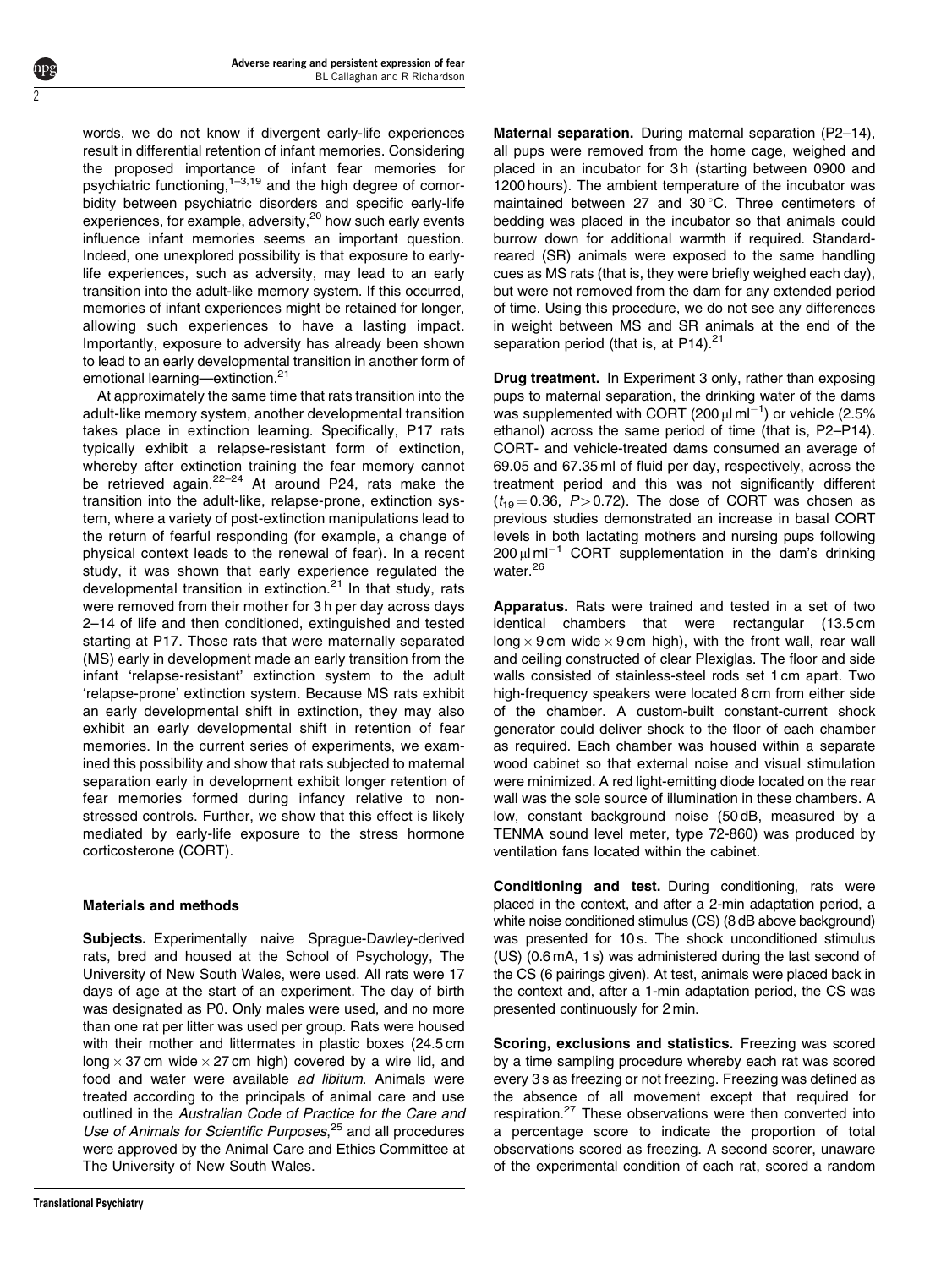words, we do not know if divergent early-life experiences result in differential retention of infant memories. Considering the proposed importance of infant fear memories for psychiatric functioning,<sup>1–3,19</sup> and the high degree of comorbidity between psychiatric disorders and specific early-life experiences, for example, adversity,<sup>[20](#page-5-0)</sup> how such early events influence infant memories seems an important question. Indeed, one unexplored possibility is that exposure to earlylife experiences, such as adversity, may lead to an early transition into the adult-like memory system. If this occurred, memories of infant experiences might be retained for longer, allowing such experiences to have a lasting impact. Importantly, exposure to adversity has already been shown to lead to an early developmental transition in another form of emotional learning—extinction.<sup>[21](#page-5-0)</sup>

2

At approximately the same time that rats transition into the adult-like memory system, another developmental transition takes place in extinction learning. Specifically, P17 rats typically exhibit a relapse-resistant form of extinction, whereby after extinction training the fear memory cannot be retrieved again. $22-24$  At around P24, rats make the transition into the adult-like, relapse-prone, extinction system, where a variety of post-extinction manipulations lead to the return of fearful responding (for example, a change of physical context leads to the renewal of fear). In a recent study, it was shown that early experience regulated the developmental transition in extinction.<sup>[21](#page-5-0)</sup> In that study, rats were removed from their mother for 3 h per day across days 2–14 of life and then conditioned, extinguished and tested starting at P17. Those rats that were maternally separated (MS) early in development made an early transition from the infant 'relapse-resistant' extinction system to the adult 'relapse-prone' extinction system. Because MS rats exhibit an early developmental shift in extinction, they may also exhibit an early developmental shift in retention of fear memories. In the current series of experiments, we examined this possibility and show that rats subjected to maternal separation early in development exhibit longer retention of fear memories formed during infancy relative to nonstressed controls. Further, we show that this effect is likely mediated by early-life exposure to the stress hormone corticosterone (CORT).

# Materials and methods

Subjects. Experimentally naive Sprague-Dawley-derived rats, bred and housed at the School of Psychology, The University of New South Wales, were used. All rats were 17 days of age at the start of an experiment. The day of birth was designated as P0. Only males were used, and no more than one rat per litter was used per group. Rats were housed with their mother and littermates in plastic boxes (24.5 cm long  $\times$  37 cm wide  $\times$  27 cm high) covered by a wire lid, and food and water were available ad libitum. Animals were treated according to the principals of animal care and use outlined in the Australian Code of Practice for the Care and Use of Animals for Scientific Purposes,<sup>[25](#page-5-0)</sup> and all procedures were approved by the Animal Care and Ethics Committee at The University of New South Wales.

Maternal separation. During maternal separation (P2-14), all pups were removed from the home cage, weighed and placed in an incubator for 3h (starting between 0900 and 1200 hours). The ambient temperature of the incubator was maintained between 27 and 30 $^{\circ}$ C. Three centimeters of bedding was placed in the incubator so that animals could burrow down for additional warmth if required. Standardreared (SR) animals were exposed to the same handling cues as MS rats (that is, they were briefly weighed each day), but were not removed from the dam for any extended period of time. Using this procedure, we do not see any differences in weight between MS and SR animals at the end of the separation period (that is, at  $P14$ ).<sup>[21](#page-5-0)</sup>

Drug treatment. In Experiment 3 only, rather than exposing pups to maternal separation, the drinking water of the dams was supplemented with CORT (200  $\mu$ l ml<sup>-1</sup>) or vehicle (2.5% ethanol) across the same period of time (that is, P2–P14). CORT- and vehicle-treated dams consumed an average of 69.05 and 67.35 ml of fluid per day, respectively, across the treatment period and this was not significantly different  $(t_{19} = 0.36, P > 0.72)$ . The dose of CORT was chosen as previous studies demonstrated an increase in basal CORT levels in both lactating mothers and nursing pups following  $200 \mu$ I ml<sup>-1</sup> CORT supplementation in the dam's drinking water.<sup>[26](#page-5-0)</sup>

Apparatus. Rats were trained and tested in a set of two identical chambers that were rectangular (13.5 cm long  $\times$  9 cm wide  $\times$  9 cm high), with the front wall, rear wall and ceiling constructed of clear Plexiglas. The floor and side walls consisted of stainless-steel rods set 1 cm apart. Two high-frequency speakers were located 8 cm from either side of the chamber. A custom-built constant-current shock generator could deliver shock to the floor of each chamber as required. Each chamber was housed within a separate wood cabinet so that external noise and visual stimulation were minimized. A red light-emitting diode located on the rear wall was the sole source of illumination in these chambers. A low, constant background noise (50 dB, measured by a TENMA sound level meter, type 72-860) was produced by ventilation fans located within the cabinet.

Conditioning and test. During conditioning, rats were placed in the context, and after a 2-min adaptation period, a white noise conditioned stimulus (CS) (8 dB above background) was presented for 10 s. The shock unconditioned stimulus (US) (0.6 mA, 1 s) was administered during the last second of the CS (6 pairings given). At test, animals were placed back in the context and, after a 1-min adaptation period, the CS was presented continuously for 2 min.

Scoring, exclusions and statistics. Freezing was scored by a time sampling procedure whereby each rat was scored every 3 s as freezing or not freezing. Freezing was defined as the absence of all movement except that required for respiration.[27](#page-5-0) These observations were then converted into a percentage score to indicate the proportion of total observations scored as freezing. A second scorer, unaware of the experimental condition of each rat, scored a random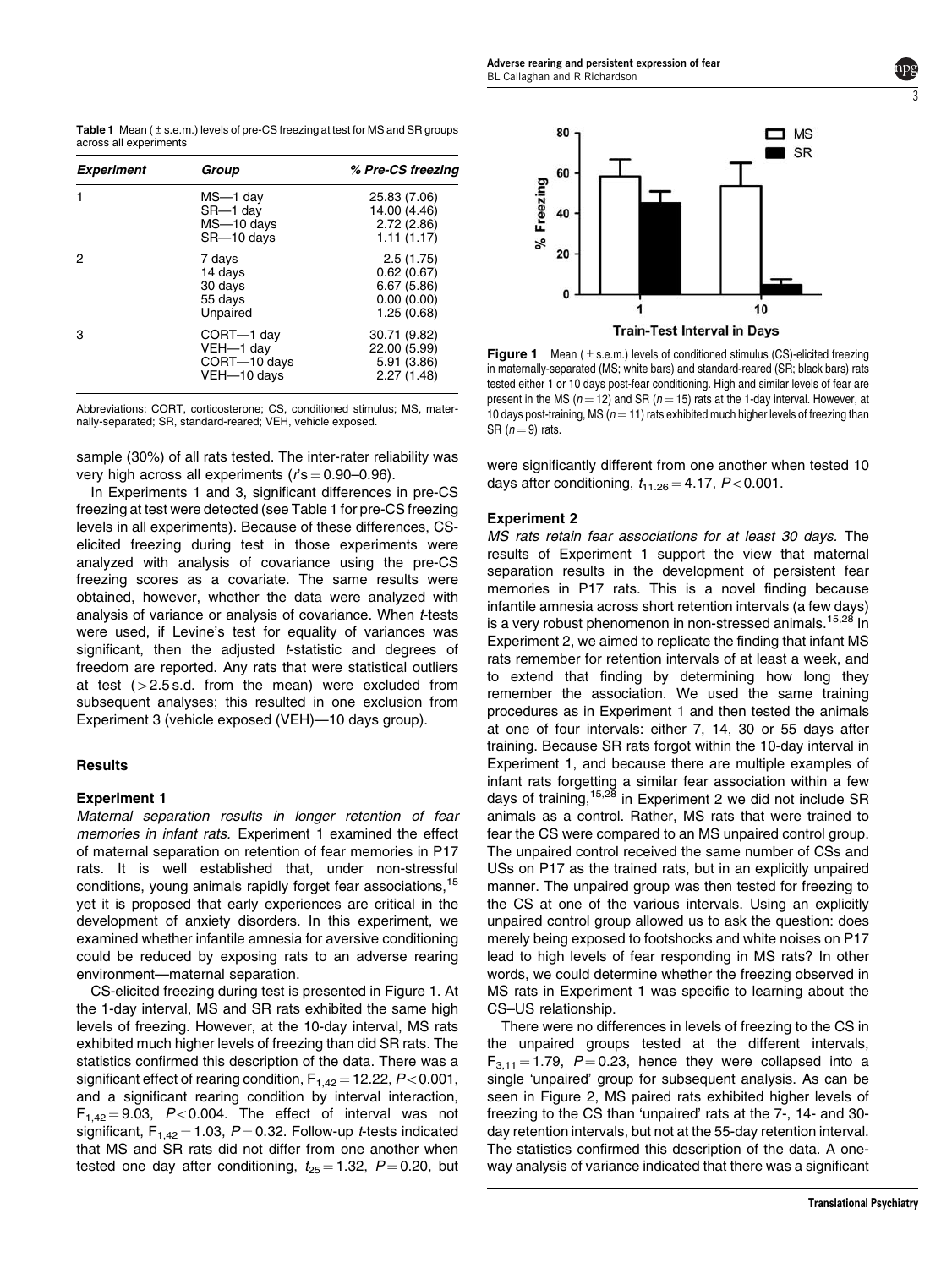3

**Table 1** Mean ( $\pm$  s.e.m.) levels of pre-CS freezing at test for MS and SR groups across all experiments

| <b>Experiment</b> | Group                                                  | % Pre-CS freezing                                                 |
|-------------------|--------------------------------------------------------|-------------------------------------------------------------------|
|                   | MS-1 day<br>SR-1 day<br>MS-10 days<br>SR-10 days       | 25.83 (7.06)<br>14.00 (4.46)<br>2.72(2.86)<br>1.11(1.17)          |
| 2                 | 7 days<br>14 days<br>30 days<br>55 days<br>Unpaired    | 2.5(1.75)<br>0.62(0.67)<br>6.67(5.86)<br>0.00(0.00)<br>1.25(0.68) |
| 3                 | CORT-1 day<br>VEH-1 day<br>CORT-10 days<br>VEH-10 days | 30.71 (9.82)<br>22.00 (5.99)<br>5.91 (3.86)<br>2.27(1.48)         |

Abbreviations: CORT, corticosterone; CS, conditioned stimulus; MS, maternally-separated; SR, standard-reared; VEH, vehicle exposed.

sample (30%) of all rats tested. The inter-rater reliability was very high across all experiments ( $r$ 's = 0.90–0.96).

In Experiments 1 and 3, significant differences in pre-CS freezing at test were detected (see Table 1 for pre-CS freezing levels in all experiments). Because of these differences, CSelicited freezing during test in those experiments were analyzed with analysis of covariance using the pre-CS freezing scores as a covariate. The same results were obtained, however, whether the data were analyzed with analysis of variance or analysis of covariance. When t-tests were used, if Levine's test for equality of variances was significant, then the adjusted *t*-statistic and degrees of freedom are reported. Any rats that were statistical outliers at test  $(>2.5 s.d.$  from the mean) were excluded from subsequent analyses; this resulted in one exclusion from Experiment 3 (vehicle exposed (VEH)—10 days group).

# **Results**

# Experiment 1

Maternal separation results in longer retention of fear memories in infant rats. Experiment 1 examined the effect of maternal separation on retention of fear memories in P17 rats. It is well established that, under non-stressful conditions, young animals rapidly forget fear associations, <sup>[15](#page-5-0)</sup> yet it is proposed that early experiences are critical in the development of anxiety disorders. In this experiment, we examined whether infantile amnesia for aversive conditioning could be reduced by exposing rats to an adverse rearing environment—maternal separation.

CS-elicited freezing during test is presented in Figure 1. At the 1-day interval, MS and SR rats exhibited the same high levels of freezing. However, at the 10-day interval, MS rats exhibited much higher levels of freezing than did SR rats. The statistics confirmed this description of the data. There was a significant effect of rearing condition,  $F_{1,42} = 12.22$ ,  $P < 0.001$ , and a significant rearing condition by interval interaction,  $F_{1,42} = 9.03$ , P<0.004. The effect of interval was not significant,  $F_{1,42} = 1.03$ ,  $P = 0.32$ . Follow-up *t*-tests indicated that MS and SR rats did not differ from one another when tested one day after conditioning,  $t_{25} = 1.32$ ,  $P = 0.20$ , but



**Figure 1** Mean  $(\pm s.e.m.)$  levels of conditioned stimulus (CS)-elicited freezing in maternally-separated (MS; white bars) and standard-reared (SR; black bars) rats tested either 1 or 10 days post-fear conditioning. High and similar levels of fear are present in the MS ( $n = 12$ ) and SR ( $n = 15$ ) rats at the 1-day interval. However, at 10 days post-training, MS ( $n = 11$ ) rats exhibited much higher levels of freezing than SR  $(n = 9)$  rats.

were significantly different from one another when tested 10 days after conditioning,  $t_{11.26} = 4.17$ ,  $P < 0.001$ .

# Experiment 2

MS rats retain fear associations for at least 30 days. The results of Experiment 1 support the view that maternal separation results in the development of persistent fear memories in P17 rats. This is a novel finding because infantile amnesia across short retention intervals (a few days) is a very robust phenomenon in non-stressed animals.<sup>[15,28](#page-5-0)</sup> In Experiment 2, we aimed to replicate the finding that infant MS rats remember for retention intervals of at least a week, and to extend that finding by determining how long they remember the association. We used the same training procedures as in Experiment 1 and then tested the animals at one of four intervals: either 7, 14, 30 or 55 days after training. Because SR rats forgot within the 10-day interval in Experiment 1, and because there are multiple examples of infant rats forgetting a similar fear association within a few days of training, <sup>[15,28](#page-5-0)</sup> in Experiment 2 we did not include SR animals as a control. Rather, MS rats that were trained to fear the CS were compared to an MS unpaired control group. The unpaired control received the same number of CSs and USs on P17 as the trained rats, but in an explicitly unpaired manner. The unpaired group was then tested for freezing to the CS at one of the various intervals. Using an explicitly unpaired control group allowed us to ask the question: does merely being exposed to footshocks and white noises on P17 lead to high levels of fear responding in MS rats? In other words, we could determine whether the freezing observed in MS rats in Experiment 1 was specific to learning about the CS–US relationship.

There were no differences in levels of freezing to the CS in the unpaired groups tested at the different intervals,  $F_{3,11} = 1.79$ ,  $P = 0.23$ , hence they were collapsed into a single 'unpaired' group for subsequent analysis. As can be seen in [Figure 2, MS paired rats exhibited higher levels of](#page-3-0) [freezing to the CS than 'unpaired' rats at the 7-, 14- and 30](#page-3-0) [day retention intervals, but not at the 55-day retention interval.](#page-3-0) [The statistics confirmed this description of the data. A one](#page-3-0)[way analysis of variance indicated that there was a significant](#page-3-0)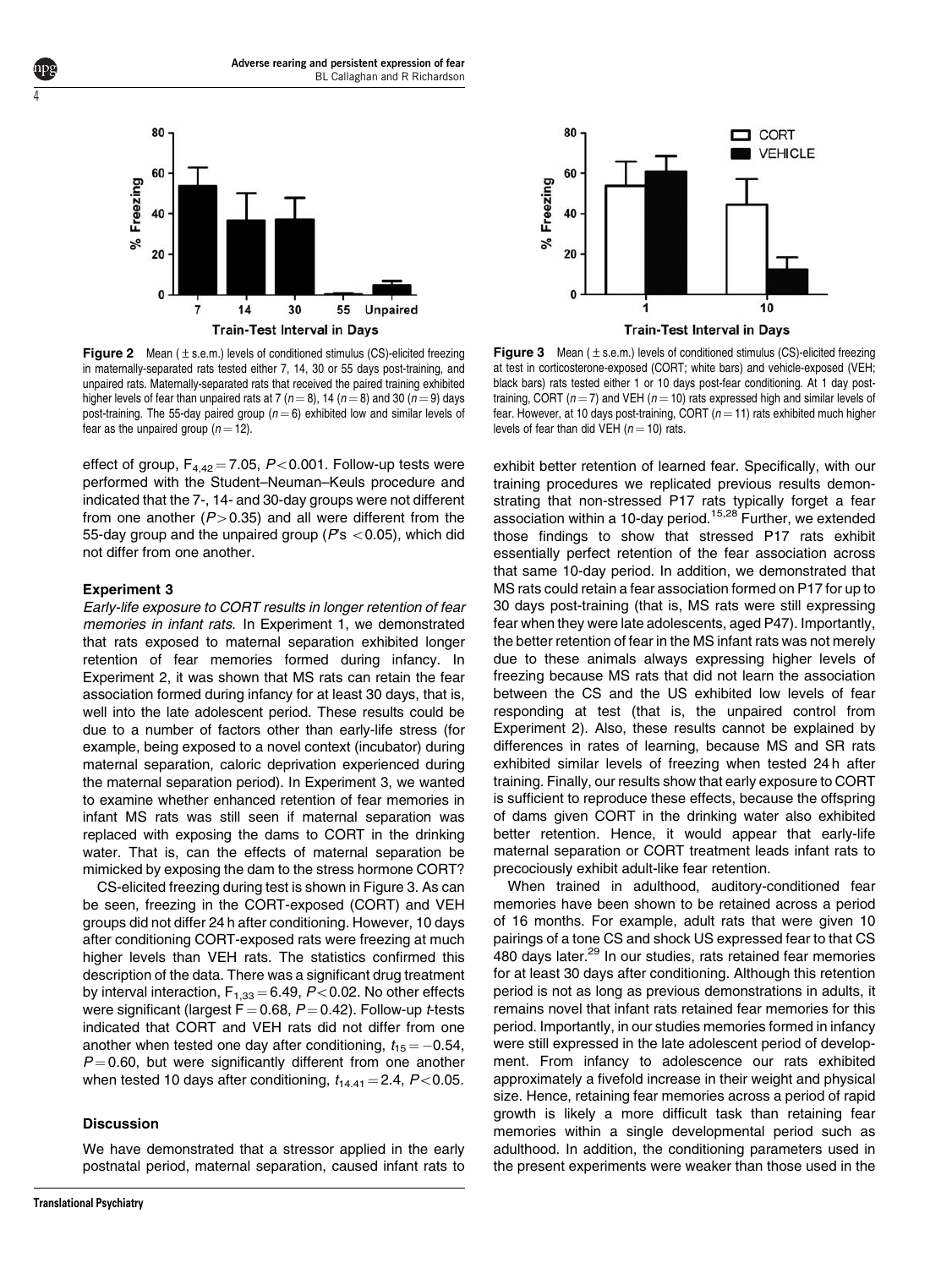

**Figure 2** Mean  $(\pm s.e.m.)$  levels of conditioned stimulus (CS)-elicited freezing in maternally-separated rats tested either 7, 14, 30 or 55 days post-training, and unpaired rats. Maternally-separated rats that received the paired training exhibited higher levels of fear than unpaired rats at 7 ( $n = 8$ ), 14 ( $n = 8$ ) and 30 ( $n = 9$ ) days post-training. The 55-day paired group ( $n = 6$ ) exhibited low and similar levels of fear as the unpaired group ( $n = 12$ ).

effect of group,  $F_{4,42} = 7.05$ ,  $P < 0.001$ . Follow-up tests were performed with the Student–Neuman–Keuls procedure and indicated that the 7-, 14- and 30-day groups were not different from one another ( $P > 0.35$ ) and all were different from the 55-day group and the unpaired group ( $Ps < 0.05$ ), which did not differ from one another.

#### Experiment 3

<span id="page-3-0"></span>4

Early-life exposure to CORT results in longer retention of fear memories in infant rats. In Experiment 1, we demonstrated that rats exposed to maternal separation exhibited longer retention of fear memories formed during infancy. In Experiment 2, it was shown that MS rats can retain the fear association formed during infancy for at least 30 days, that is, well into the late adolescent period. These results could be due to a number of factors other than early-life stress (for example, being exposed to a novel context (incubator) during maternal separation, caloric deprivation experienced during the maternal separation period). In Experiment 3, we wanted to examine whether enhanced retention of fear memories in infant MS rats was still seen if maternal separation was replaced with exposing the dams to CORT in the drinking water. That is, can the effects of maternal separation be mimicked by exposing the dam to the stress hormone CORT?

CS-elicited freezing during test is shown in Figure 3. As can be seen, freezing in the CORT-exposed (CORT) and VEH groups did not differ 24 h after conditioning. However, 10 days after conditioning CORT-exposed rats were freezing at much higher levels than VEH rats. The statistics confirmed this description of the data. There was a significant drug treatment by interval interaction,  $F_{1,33} = 6.49$ ,  $P < 0.02$ . No other effects were significant (largest  $F = 0.68$ ,  $P = 0.42$ ). Follow-up t-tests indicated that CORT and VEH rats did not differ from one another when tested one day after conditioning,  $t_{15} = -0.54$ ,  $P = 0.60$ , but were significantly different from one another when tested 10 days after conditioning,  $t_{14.41} = 2.4$ , P<0.05.

# Discussion

We have demonstrated that a stressor applied in the early postnatal period, maternal separation, caused infant rats to



**Figure 3** Mean ( $\pm$  s.e.m.) levels of conditioned stimulus (CS)-elicited freezing at test in corticosterone-exposed (CORT; white bars) and vehicle-exposed (VEH; black bars) rats tested either 1 or 10 days post-fear conditioning. At 1 day posttraining, CORT ( $n = 7$ ) and VEH ( $n = 10$ ) rats expressed high and similar levels of fear. However, at 10 days post-training, CORT ( $n = 11$ ) rats exhibited much higher levels of fear than did VEH ( $n = 10$ ) rats.

exhibit better retention of learned fear. Specifically, with our training procedures we replicated previous results demonstrating that non-stressed P17 rats typically forget a fear association within a 10-day period.[15,28](#page-5-0) Further, we extended those findings to show that stressed P17 rats exhibit essentially perfect retention of the fear association across that same 10-day period. In addition, we demonstrated that MS rats could retain a fear association formed on P17 for up to 30 days post-training (that is, MS rats were still expressing fear when they were late adolescents, aged P47). Importantly, the better retention of fear in the MS infant rats was not merely due to these animals always expressing higher levels of freezing because MS rats that did not learn the association between the CS and the US exhibited low levels of fear responding at test (that is, the unpaired control from Experiment 2). Also, these results cannot be explained by differences in rates of learning, because MS and SR rats exhibited similar levels of freezing when tested 24 h after training. Finally, our results show that early exposure to CORT is sufficient to reproduce these effects, because the offspring of dams given CORT in the drinking water also exhibited better retention. Hence, it would appear that early-life maternal separation or CORT treatment leads infant rats to precociously exhibit adult-like fear retention.

When trained in adulthood, auditory-conditioned fear memories have been shown to be retained across a period of 16 months. For example, adult rats that were given 10 pairings of a tone CS and shock US expressed fear to that CS 480 days later.<sup>29</sup> In our studies, rats retained fear memories for at least 30 days after conditioning. Although this retention period is not as long as previous demonstrations in adults, it remains novel that infant rats retained fear memories for this period. Importantly, in our studies memories formed in infancy were still expressed in the late adolescent period of development. From infancy to adolescence our rats exhibited approximately a fivefold increase in their weight and physical size. Hence, retaining fear memories across a period of rapid growth is likely a more difficult task than retaining fear memories within a single developmental period such as adulthood. In addition, the conditioning parameters used in the present experiments were weaker than those used in the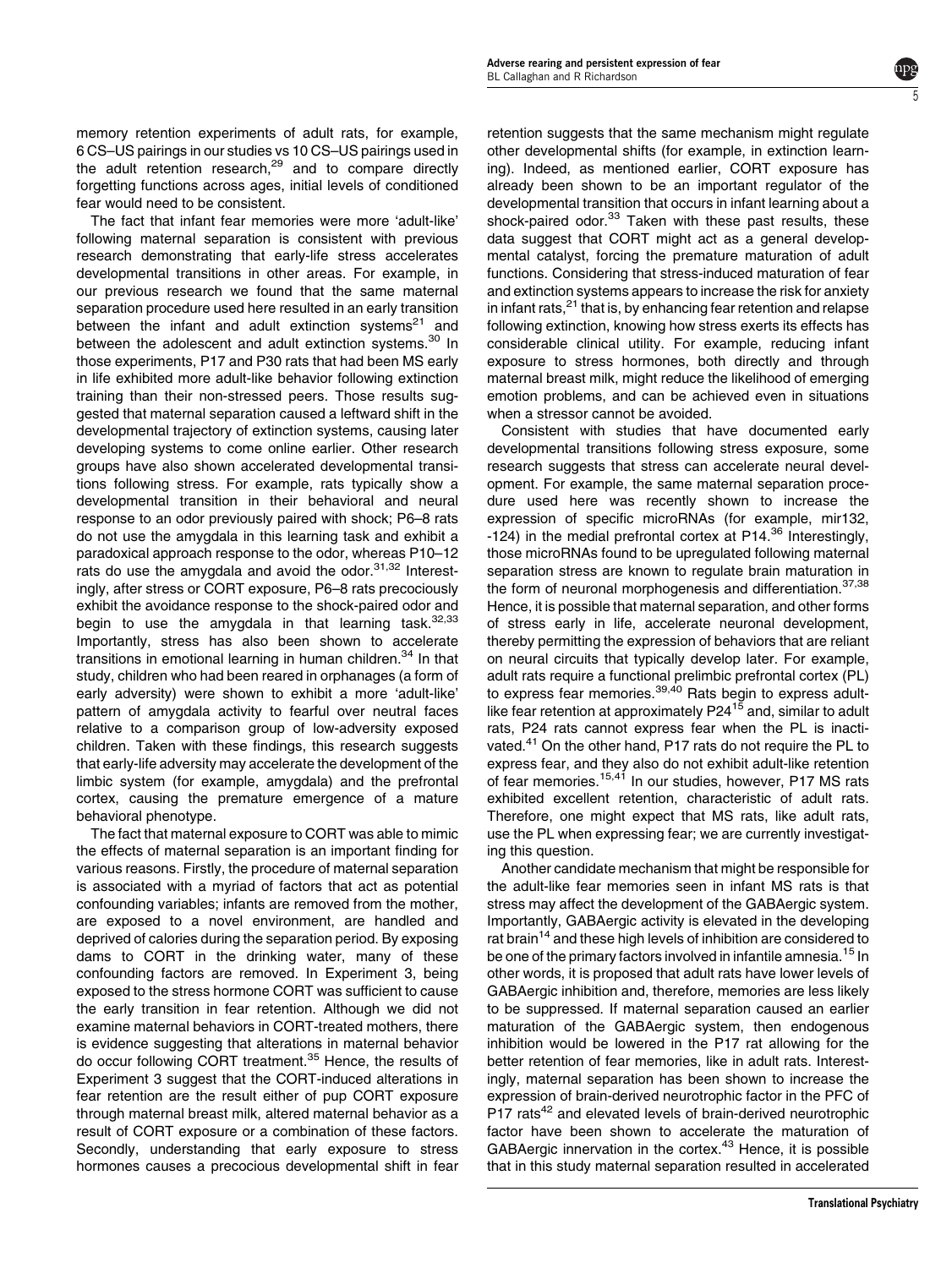memory retention experiments of adult rats, for example, 6 CS–US pairings in our studies vs 10 CS–US pairings used in the adult retention research,<sup>[29](#page-5-0)</sup> and to compare directly forgetting functions across ages, initial levels of conditioned fear would need to be consistent.

The fact that infant fear memories were more 'adult-like' following maternal separation is consistent with previous research demonstrating that early-life stress accelerates developmental transitions in other areas. For example, in our previous research we found that the same maternal separation procedure used here resulted in an early transition between the infant and adult extinction systems<sup>[21](#page-5-0)</sup> and between the adolescent and adult extinction systems.<sup>30</sup> In those experiments, P17 and P30 rats that had been MS early in life exhibited more adult-like behavior following extinction training than their non-stressed peers. Those results suggested that maternal separation caused a leftward shift in the developmental trajectory of extinction systems, causing later developing systems to come online earlier. Other research groups have also shown accelerated developmental transitions following stress. For example, rats typically show a developmental transition in their behavioral and neural response to an odor previously paired with shock; P6–8 rats do not use the amygdala in this learning task and exhibit a paradoxical approach response to the odor, whereas P10–12 rats do use the amygdala and avoid the odor. $31,32$  Interestingly, after stress or CORT exposure, P6–8 rats precociously exhibit the avoidance response to the shock-paired odor and begin to use the amygdala in that learning task. $32,33$ Importantly, stress has also been shown to accelerate transitions in emotional learning in human children.<sup>34</sup> In that study, children who had been reared in orphanages (a form of early adversity) were shown to exhibit a more 'adult-like' pattern of amygdala activity to fearful over neutral faces relative to a comparison group of low-adversity exposed children. Taken with these findings, this research suggests that early-life adversity may accelerate the development of the limbic system (for example, amygdala) and the prefrontal cortex, causing the premature emergence of a mature behavioral phenotype.

The fact that maternal exposure to CORT was able to mimic the effects of maternal separation is an important finding for various reasons. Firstly, the procedure of maternal separation is associated with a myriad of factors that act as potential confounding variables; infants are removed from the mother, are exposed to a novel environment, are handled and deprived of calories during the separation period. By exposing dams to CORT in the drinking water, many of these confounding factors are removed. In Experiment 3, being exposed to the stress hormone CORT was sufficient to cause the early transition in fear retention. Although we did not examine maternal behaviors in CORT-treated mothers, there is evidence suggesting that alterations in maternal behavior do occur following CORT treatment.[35](#page-6-0) Hence, the results of Experiment 3 suggest that the CORT-induced alterations in fear retention are the result either of pup CORT exposure through maternal breast milk, altered maternal behavior as a result of CORT exposure or a combination of these factors. Secondly, understanding that early exposure to stress hormones causes a precocious developmental shift in fear

retention suggests that the same mechanism might regulate other developmental shifts (for example, in extinction learning). Indeed, as mentioned earlier, CORT exposure has already been shown to be an important regulator of the developmental transition that occurs in infant learning about a shock-paired odor.<sup>[33](#page-5-0)</sup> Taken with these past results, these data suggest that CORT might act as a general developmental catalyst, forcing the premature maturation of adult functions. Considering that stress-induced maturation of fear and extinction systems appears to increase the risk for anxiety in infant rats.<sup>[21](#page-5-0)</sup> that is, by enhancing fear retention and relapse following extinction, knowing how stress exerts its effects has considerable clinical utility. For example, reducing infant exposure to stress hormones, both directly and through maternal breast milk, might reduce the likelihood of emerging emotion problems, and can be achieved even in situations when a stressor cannot be avoided.

5

Consistent with studies that have documented early developmental transitions following stress exposure, some research suggests that stress can accelerate neural development. For example, the same maternal separation procedure used here was recently shown to increase the expression of specific microRNAs (for example, mir132, -124) in the medial prefrontal cortex at  $P14<sup>36</sup>$  $P14<sup>36</sup>$  $P14<sup>36</sup>$  Interestingly, those microRNAs found to be upregulated following maternal separation stress are known to regulate brain maturation in the form of neuronal morphogenesis and differentiation.<sup>[37,38](#page-6-0)</sup> Hence, it is possible that maternal separation, and other forms of stress early in life, accelerate neuronal development, thereby permitting the expression of behaviors that are reliant on neural circuits that typically develop later. For example, adult rats require a functional prelimbic prefrontal cortex (PL) to express fear memories.<sup>[39,40](#page-6-0)</sup> Rats begin to express adult-like fear retention at approximately P24<sup>[15](#page-5-0)</sup> and, similar to adult rats, P24 rats cannot express fear when the PL is inacti-vated.<sup>[41](#page-6-0)</sup> On the other hand, P17 rats do not require the PL to express fear, and they also do not exhibit adult-like retention of fear memories.<sup>15,41</sup> In our studies, however, P17 MS rats exhibited excellent retention, characteristic of adult rats. Therefore, one might expect that MS rats, like adult rats, use the PL when expressing fear; we are currently investigating this question.

Another candidate mechanism that might be responsible for the adult-like fear memories seen in infant MS rats is that stress may affect the development of the GABAergic system. Importantly, GABAergic activity is elevated in the developing rat brain<sup>[14](#page-5-0)</sup> and these high levels of inhibition are considered to be one of the primary factors involved in infantile amnesia.<sup>[15](#page-5-0)</sup> In other words, it is proposed that adult rats have lower levels of GABAergic inhibition and, therefore, memories are less likely to be suppressed. If maternal separation caused an earlier maturation of the GABAergic system, then endogenous inhibition would be lowered in the P17 rat allowing for the better retention of fear memories, like in adult rats. Interestingly, maternal separation has been shown to increase the expression of brain-derived neurotrophic factor in the PFC of P17 rats<sup>[42](#page-6-0)</sup> and elevated levels of brain-derived neurotrophic factor have been shown to accelerate the maturation of GABAergic innervation in the cortex.<sup>[43](#page-6-0)</sup> Hence, it is possible that in this study maternal separation resulted in accelerated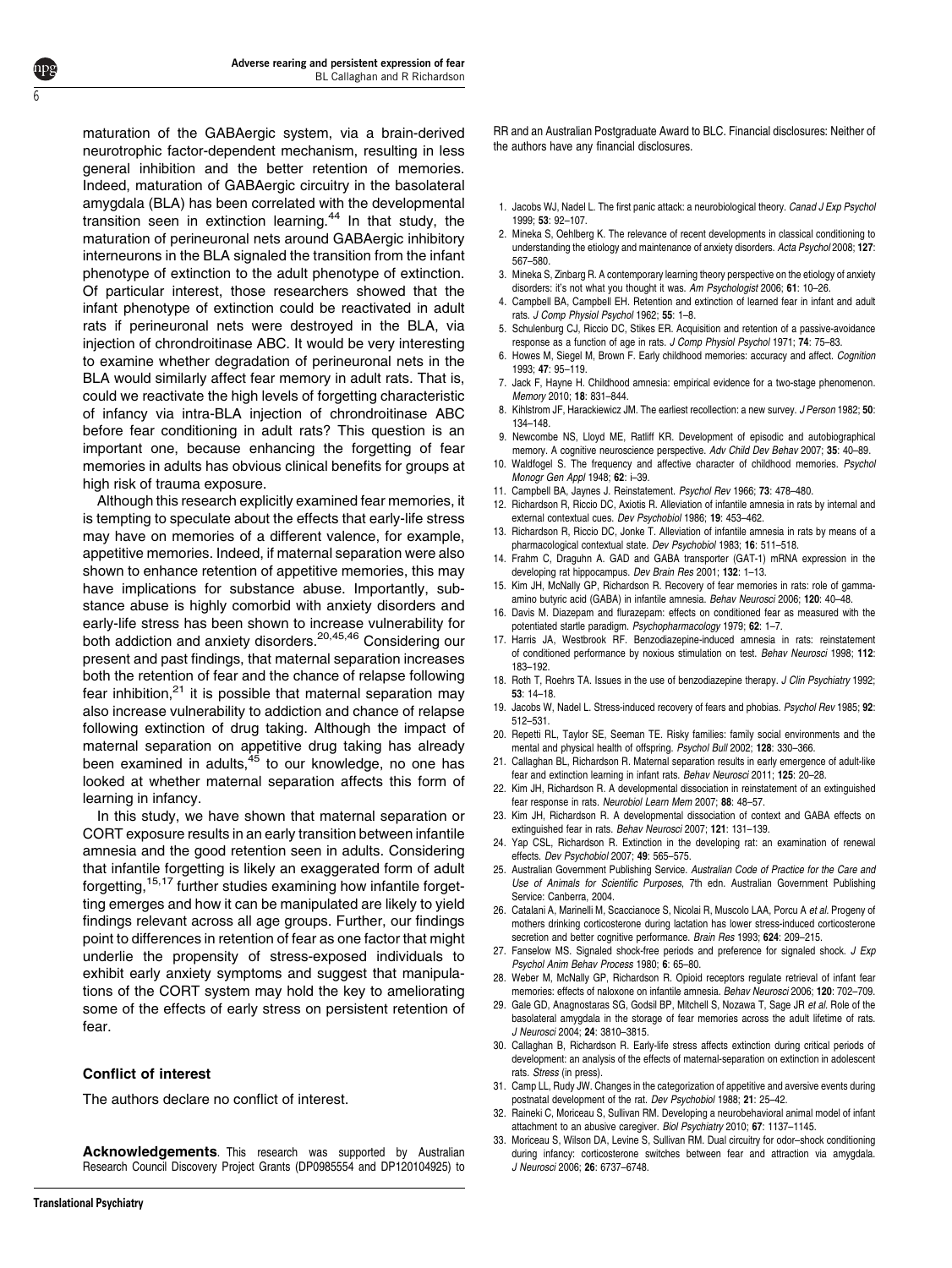maturation of the GABAergic system, via a brain-derived neurotrophic factor-dependent mechanism, resulting in less general inhibition and the better retention of memories. Indeed, maturation of GABAergic circuitry in the basolateral amygdala (BLA) has been correlated with the developmental transition seen in extinction learning.<sup>[44](#page-6-0)</sup> In that study, the maturation of perineuronal nets around GABAergic inhibitory interneurons in the BLA signaled the transition from the infant phenotype of extinction to the adult phenotype of extinction. Of particular interest, those researchers showed that the infant phenotype of extinction could be reactivated in adult rats if perineuronal nets were destroyed in the BLA, via injection of chrondroitinase ABC. It would be very interesting to examine whether degradation of perineuronal nets in the BLA would similarly affect fear memory in adult rats. That is, could we reactivate the high levels of forgetting characteristic of infancy via intra-BLA injection of chrondroitinase ABC before fear conditioning in adult rats? This question is an important one, because enhancing the forgetting of fear memories in adults has obvious clinical benefits for groups at high risk of trauma exposure.

Although this research explicitly examined fear memories, it is tempting to speculate about the effects that early-life stress may have on memories of a different valence, for example, appetitive memories. Indeed, if maternal separation were also shown to enhance retention of appetitive memories, this may have implications for substance abuse. Importantly, substance abuse is highly comorbid with anxiety disorders and early-life stress has been shown to increase vulnerability for both addiction and anxiety disorders.<sup>20,45,46</sup> Considering our present and past findings, that maternal separation increases both the retention of fear and the chance of relapse following fear inhibition, $21$  it is possible that maternal separation may also increase vulnerability to addiction and chance of relapse following extinction of drug taking. Although the impact of maternal separation on appetitive drug taking has already been examined in adults,  $45$  to our knowledge, no one has looked at whether maternal separation affects this form of learning in infancy.

In this study, we have shown that maternal separation or CORT exposure results in an early transition between infantile amnesia and the good retention seen in adults. Considering that infantile forgetting is likely an exaggerated form of adult forgetting,15,17 further studies examining how infantile forgetting emerges and how it can be manipulated are likely to yield findings relevant across all age groups. Further, our findings point to differences in retention of fear as one factor that might underlie the propensity of stress-exposed individuals to exhibit early anxiety symptoms and suggest that manipulations of the CORT system may hold the key to ameliorating some of the effects of early stress on persistent retention of fear.

# Conflict of interest

The authors declare no conflict of interest.

Acknowledgements. This research was supported by Australian Research Council Discovery Project Grants (DP0985554 and DP120104925) to

<span id="page-5-0"></span>6

RR and an Australian Postgraduate Award to BLC. Financial disclosures: Neither of the authors have any financial disclosures.

- 1. Jacobs WJ, Nadel L. The first panic attack: a neurobiological theory. Canad J Exp Psychol 1999; 53: 92–107.
- 2. Mineka S, Oehlberg K. The relevance of recent developments in classical conditioning to understanding the etiology and maintenance of anxiety disorders. Acta Psychol 2008; 127: 567–580.
- 3. Mineka S, Zinbarg R. A contemporary learning theory perspective on the etiology of anxiety disorders: it's not what you thought it was. Am Psychologist 2006: 61: 10-26.
- 4. Campbell BA, Campbell EH. Retention and extinction of learned fear in infant and adult rats. J Comp Physiol Psychol 1962; 55: 1–8.
- 5. Schulenburg CJ, Riccio DC, Stikes ER. Acquisition and retention of a passive-avoidance response as a function of age in rats. J Comp Physiol Psychol 1971; 74: 75–83.
- 6. Howes M, Siegel M, Brown F. Early childhood memories: accuracy and affect. Cognition 1993; 47: 95–119.
- 7. Jack F, Hayne H. Childhood amnesia: empirical evidence for a two-stage phenomenon. Memory 2010; 18: 831–844.
- 8. Kihlstrom JF, Harackiewicz JM. The earliest recollection: a new survey. J Person 1982; 50: 134–148.
- 9. Newcombe NS, Lloyd ME, Ratliff KR. Development of episodic and autobiographical memory. A cognitive neuroscience perspective. Adv Child Dev Behav 2007; 35: 40-89.
- 10. Waldfogel S. The frequency and affective character of childhood memories. Psychol Monogr Gen Appl 1948; 62: i–39.
- 11. Campbell BA, Jaynes J. Reinstatement. Psychol Rev 1966; 73: 478–480.
- 12. Richardson R, Riccio DC, Axiotis R. Alleviation of infantile amnesia in rats by internal and external contextual cues. Dev Psychobiol 1986; 19: 453–462.
- 13. Richardson R, Riccio DC, Jonke T. Alleviation of infantile amnesia in rats by means of a pharmacological contextual state. Dev Psychobiol 1983; 16: 511–518.
- 14. Frahm C, Draguhn A. GAD and GABA transporter (GAT-1) mRNA expression in the developing rat hippocampus. Dev Brain Res 2001; 132: 1–13.
- 15. Kim JH, McNally GP, Richardson R. Recovery of fear memories in rats: role of gammaamino butyric acid (GABA) in infantile amnesia. Behav Neurosci 2006; 120: 40–48.
- 16. Davis M. Diazepam and flurazepam: effects on conditioned fear as measured with the potentiated startle paradigm. Psychopharmacology 1979; 62: 1–7.
- 17. Harris JA, Westbrook RF. Benzodiazepine-induced amnesia in rats: reinstatement of conditioned performance by noxious stimulation on test. Behav Neurosci 1998; 112: 183–192.
- 18. Roth T, Roehrs TA. Issues in the use of benzodiazepine therapy. J Clin Psychiatry 1992; 53: 14–18.
- 19. Jacobs W, Nadel L. Stress-induced recovery of fears and phobias. Psychol Rev 1985; 92: 512–531.
- 20. Repetti RL, Taylor SE, Seeman TE. Risky families: family social environments and the mental and physical health of offspring. Psychol Bull 2002; 128: 330–366.
- 21. Callaghan BL, Richardson R. Maternal separation results in early emergence of adult-like fear and extinction learning in infant rats. Behav Neurosci 2011; 125: 20–28.
- 22. Kim JH, Richardson R. A developmental dissociation in reinstatement of an extinguished fear response in rats. Neurobiol Learn Mem 2007; 88: 48–57.
- 23. Kim JH, Richardson R. A developmental dissociation of context and GABA effects on extinguished fear in rats. Behav Neurosci 2007; 121: 131–139.
- 24. Yap CSL, Richardson R. Extinction in the developing rat: an examination of renewal effects. Dev Psychobiol 2007; 49: 565–575.
- 25. Australian Government Publishing Service. Australian Code of Practice for the Care and Use of Animals for Scientific Purposes, 7th edn. Australian Government Publishing Service: Canberra, 2004.
- 26. Catalani A, Marinelli M, Scaccianoce S, Nicolai R, Muscolo LAA, Porcu A et al. Progeny of mothers drinking corticosterone during lactation has lower stress-induced corticosterone secretion and better cognitive performance. Brain Res 1993; 624: 209-215.
- 27. Fanselow MS. Signaled shock-free periods and preference for signaled shock.  $J$  Exp Psychol Anim Behav Process 1980; 6: 65–80.
- 28. Weber M, McNally GP, Richardson R. Opioid receptors regulate retrieval of infant fear memories: effects of naloxone on infantile amnesia. Behav Neurosci 2006; 120: 702–709.
- 29. Gale GD, Anagnostaras SG, Godsil BP, Mitchell S, Nozawa T, Sage JR et al. Role of the basolateral amygdala in the storage of fear memories across the adult lifetime of rats. J Neurosci 2004; 24: 3810–3815.
- 30. Callaghan B, Richardson R. Early-life stress affects extinction during critical periods of development: an analysis of the effects of maternal-separation on extinction in adolescent rats. Stress (in press).
- 31. Camp LL, Rudy JW. Changes in the categorization of appetitive and aversive events during postnatal development of the rat. Dev Psychobiol 1988; 21: 25–42.
- 32. Raineki C, Moriceau S, Sullivan RM. Developing a neurobehavioral animal model of infant attachment to an abusive caregiver. Biol Psychiatry 2010; 67: 1137–1145.
- 33. Moriceau S, Wilson DA, Levine S, Sullivan RM. Dual circuitry for odor–shock conditioning during infancy: corticosterone switches between fear and attraction via amygdala. J Neurosci 2006; 26: 6737–6748.